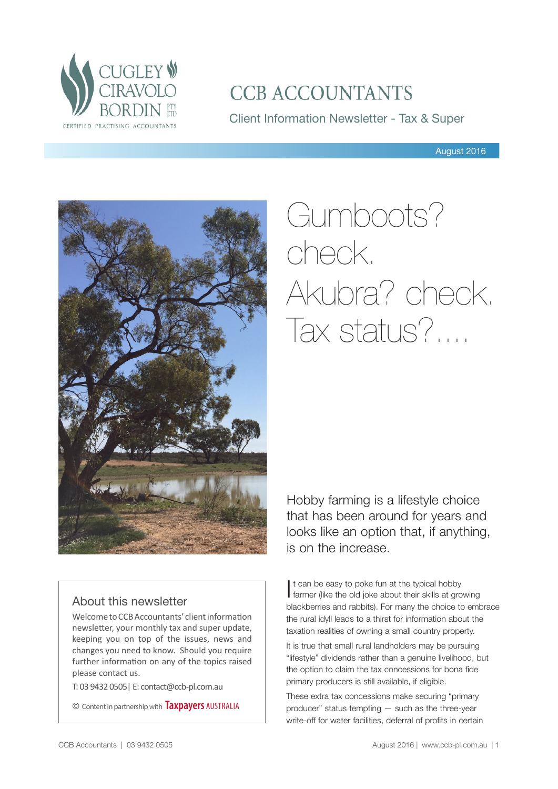

## **CCB ACCOUNTANTS**

Client Information Newsletter - Tax & Super

August 2016



# Gumboots? check. Akubra? check. Tax status?....

## About this newsletter

Welcome to CCB Accountants' client information newsletter, your monthly tax and super update, keeping you on top of the issues, news and changes you need to know. Should you require further information on any of the topics raised please contact us.

T: 03 9432 0505| E: contact@ccb-pl.com.au

© Content in partnership with **Taxpayers** AUSTRALIA

Hobby farming is a lifestyle choice that has been around for years and looks like an option that, if anything, is on the increase.

It can be easy to poke fun at the typical hobby<br>farmer (like the old joke about their skills at gro farmer (like the old joke about their skills at growing blackberries and rabbits). For many the choice to embrace the rural idyll leads to a thirst for information about the taxation realities of owning a small country property.

It is true that small rural landholders may be pursuing "lifestyle" dividends rather than a genuine livelihood, but the option to claim the tax concessions for bona fide primary producers is still available, if eligible.

These extra tax concessions make securing "primary producer" status tempting — such as the three-year write-off for water facilities, deferral of profits in certain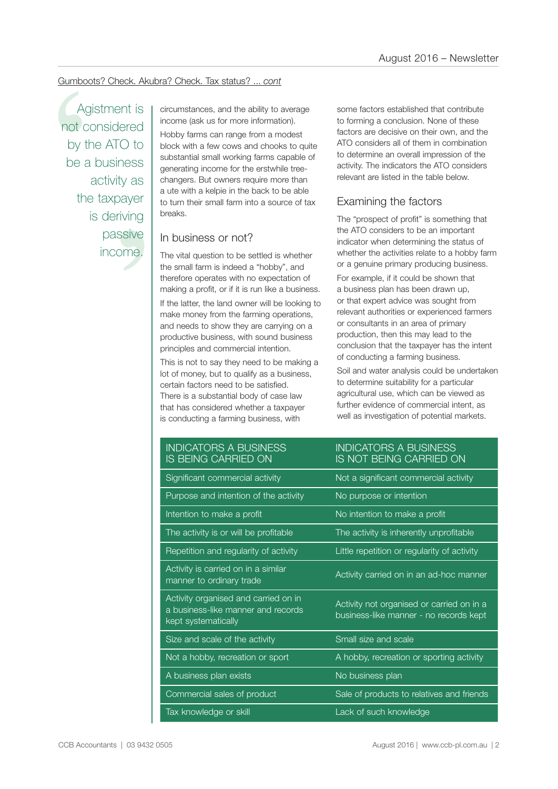## Gumboots? Check. Akubra? Check. Tax status? ... *cont*

Tess<br>
y as<br>
ayer<br>
iving<br>
sive<br>
pme. Agistment is not considered by the ATO to be a business activity as the taxpayer is deriving passive income.

income (ask us for more information).

Gumboots? Check. Akubra? Check. Tax status? ... cont<br>
Agistment is<br>
not considered<br>
by the ATO to<br>
be a business<br>
activity as<br>
a different a mate for more information).<br>
be a business<br>
activity as<br>
a different a kelpie in Hobby farms can range from a modest block with a few cows and chooks to quite substantial small working farms capable of generating income for the erstwhile treechangers. But owners require more than a ute with a kelpie in the back to be able to turn their small farm into a source of tax breaks.

## In business or not?

The vital question to be settled is whether the small farm is indeed a "hobby", and therefore operates with no expectation of making a profit, or if it is run like a business.

If the latter, the land owner will be looking to make money from the farming operations, and needs to show they are carrying on a productive business, with sound business principles and commercial intention.

This is not to say they need to be making a lot of money, but to qualify as a business, certain factors need to be satisfied. There is a substantial body of case law that has considered whether a taxpayer is conducting a farming business, with

some factors established that contribute to forming a conclusion. None of these factors are decisive on their own, and the ATO considers all of them in combination to determine an overall impression of the activity. The indicators the ATO considers relevant are listed in the table below.

## Examining the factors

The "prospect of profit" is something that the ATO considers to be an important indicator when determining the status of whether the activities relate to a hobby farm or a genuine primary producing business.

For example, if it could be shown that a business plan has been drawn up, or that expert advice was sought from relevant authorities or experienced farmers or consultants in an area of primary production, then this may lead to the conclusion that the taxpayer has the intent of conducting a farming business.

Soil and water analysis could be undertaken to determine suitability for a particular agricultural use, which can be viewed as further evidence of commercial intent, as well as investigation of potential markets.

INDICATORS A BUSINESS IS NOT BEING CARRIED ON

## INDICATORS A BUSINESS IS BEING CARRIED ON

| Significant commercial activity                                                                   | Not a significant commercial activity                                               |
|---------------------------------------------------------------------------------------------------|-------------------------------------------------------------------------------------|
| Purpose and intention of the activity                                                             | No purpose or intention                                                             |
| Intention to make a profit                                                                        | No intention to make a profit                                                       |
| The activity is or will be profitable                                                             | The activity is inherently unprofitable                                             |
| Repetition and regularity of activity                                                             | Little repetition or regularity of activity                                         |
| Activity is carried on in a similar<br>manner to ordinary trade                                   | Activity carried on in an ad-hoc manner                                             |
| Activity organised and carried on in<br>a business-like manner and records<br>kept systematically | Activity not organised or carried on in a<br>business-like manner - no records kept |
| Size and scale of the activity                                                                    | Small size and scale                                                                |
| Not a hobby, recreation or sport                                                                  | A hobby, recreation or sporting activity                                            |
| A business plan exists                                                                            | No business plan                                                                    |
| Commercial sales of product                                                                       | Sale of products to relatives and friends                                           |
| Tax knowledge or skill                                                                            | Lack of such knowledge                                                              |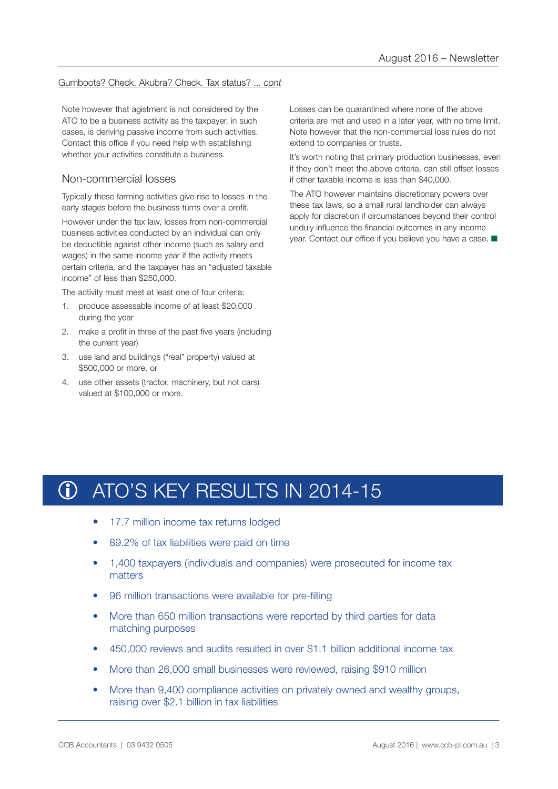## Gumboots? Check. Akubra? Check. Tax status? ... *cont*

Note however that agistment is not considered by the ATO to be a business activity as the taxpayer, in such cases, is deriving passive income from such activities. Contact this office if you need help with establishing whether your activities constitute a business.

## Non-commercial losses

Typically these farming activities give rise to losses in the early stages before the business turns over a profit.

However under the tax law, losses from non-commercial business activities conducted by an individual can only be deductible against other income (such as salary and wages) in the same income year if the activity meets certain criteria, and the taxpayer has an "adjusted taxable income" of less than \$250,000.

The activity must meet at least one of four criteria:

- 1. produce assessable income of at least \$20,000 during the year
- 2. make a profit in three of the past five years (including the current year)
- 3. use land and buildings ("real" property) valued at \$500,000 or more, or
- 4. use other assets (tractor, machinery, but not cars) valued at \$100,000 or more.

Losses can be quarantined where none of the above criteria are met and used in a later year, with no time limit. Note however that the non-commercial loss rules do not extend to companies or trusts.

It's worth noting that primary production businesses, even if they don't meet the above criteria, can still offset losses if other taxable income is less than \$40,000.

The ATO however maintains discretionary powers over these tax laws, so a small rural landholder can always apply for discretion if circumstances beyond their control unduly influence the financial outcomes in any income year. Contact our office if you believe you have a case.  $\blacksquare$ 

## ATO'S KEY RESULTS IN 2014-15 **G**

- 17.7 million income tax returns lodged
- 89.2% of tax liabilities were paid on time
- 1,400 taxpayers (individuals and companies) were prosecuted for income tax matters
- 96 million transactions were available for pre-filling
- More than 650 million transactions were reported by third parties for data matching purposes
- 450,000 reviews and audits resulted in over \$1.1 billion additional income tax
- More than 26,000 small businesses were reviewed, raising \$910 million
- More than 9,400 compliance activities on privately owned and wealthy groups, raising over \$2.1 billion in tax liabilities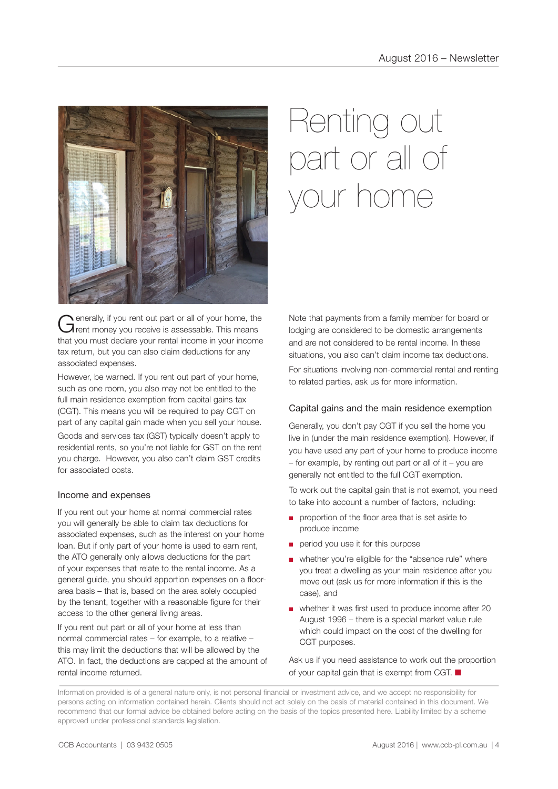

Generally, if you rent out part or all of your home, the Trent money you receive is assessable. This means that you must declare your rental income in your income tax return, but you can also claim deductions for any associated expenses.

However, be warned. If you rent out part of your home, such as one room, you also may not be entitled to the full main residence exemption from capital gains tax (CGT). This means you will be required to pay CGT on part of any capital gain made when you sell your house.

Goods and services tax (GST) typically doesn't apply to residential rents, so you're not liable for GST on the rent you charge. However, you also can't claim GST credits for associated costs.

## Income and expenses

If you rent out your home at normal commercial rates you will generally be able to claim tax deductions for associated expenses, such as the interest on your home loan. But if only part of your home is used to earn rent, the ATO generally only allows deductions for the part of your expenses that relate to the rental income. As a general guide, you should apportion expenses on a floorarea basis – that is, based on the area solely occupied by the tenant, together with a reasonable figure for their access to the other general living areas.

If you rent out part or all of your home at less than normal commercial rates – for example, to a relative – this may limit the deductions that will be allowed by the ATO. In fact, the deductions are capped at the amount of rental income returned.

# Renting out part or all of your home

Note that payments from a family member for board or lodging are considered to be domestic arrangements and are not considered to be rental income. In these situations, you also can't claim income tax deductions.

For situations involving non-commercial rental and renting to related parties, ask us for more information.

## Capital gains and the main residence exemption

Generally, you don't pay CGT if you sell the home you live in (under the main residence exemption). However, if you have used any part of your home to produce income  $-$  for example, by renting out part or all of it  $-$  you are generally not entitled to the full CGT exemption.

To work out the capital gain that is not exempt, you need to take into account a number of factors, including:

- proportion of the floor area that is set aside to produce income
- period you use it for this purpose
- whether you're eligible for the "absence rule" where you treat a dwelling as your main residence after you move out (ask us for more information if this is the case), and
- whether it was first used to produce income after 20 August 1996 – there is a special market value rule which could impact on the cost of the dwelling for CGT purposes.

Ask us if you need assistance to work out the proportion of your capital gain that is exempt from CGT.  $\blacksquare$ 

Information provided is of a general nature only, is not personal financial or investment advice, and we accept no responsibility for persons acting on information contained herein. Clients should not act solely on the basis of material contained in this document. We recommend that our formal advice be obtained before acting on the basis of the topics presented here. Liability limited by a scheme approved under professional standards legislation.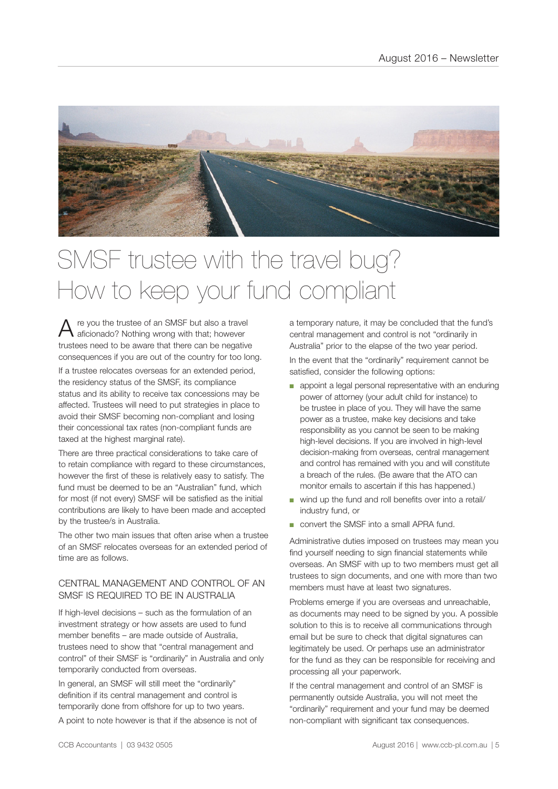

## SMSF trustee with the travel bug? How to keep your fund compliant

 $A$  re you the trustee of an SMSF but also a travel<br>a aficionado? Nothing wrong with that; however trustees need to be aware that there can be negative consequences if you are out of the country for too long. If a trustee relocates overseas for an extended period, the residency status of the SMSF, its compliance status and its ability to receive tax concessions may be affected. Trustees will need to put strategies in place to avoid their SMSF becoming non-compliant and losing their concessional tax rates (non-compliant funds are taxed at the highest marginal rate).

There are three practical considerations to take care of to retain compliance with regard to these circumstances, however the first of these is relatively easy to satisfy. The fund must be deemed to be an "Australian" fund, which for most (if not every) SMSF will be satisfied as the initial contributions are likely to have been made and accepted by the trustee/s in Australia.

The other two main issues that often arise when a trustee of an SMSF relocates overseas for an extended period of time are as follows.

## CENTRAL MANAGEMENT AND CONTROL OF AN SMSF IS REQUIRED TO BE IN AUSTRALIA

If high-level decisions – such as the formulation of an investment strategy or how assets are used to fund member benefits – are made outside of Australia, trustees need to show that "central management and control" of their SMSF is "ordinarily" in Australia and only temporarily conducted from overseas.

In general, an SMSF will still meet the "ordinarily" definition if its central management and control is temporarily done from offshore for up to two years.

A point to note however is that if the absence is not of

a temporary nature, it may be concluded that the fund's central management and control is not "ordinarily in Australia" prior to the elapse of the two year period. In the event that the "ordinarily" requirement cannot be satisfied, consider the following options:

- appoint a legal personal representative with an enduring power of attorney (your adult child for instance) to be trustee in place of you. They will have the same power as a trustee, make key decisions and take responsibility as you cannot be seen to be making high-level decisions. If you are involved in high-level decision-making from overseas, central management and control has remained with you and will constitute a breach of the rules. (Be aware that the ATO can monitor emails to ascertain if this has happened.)
- wind up the fund and roll benefits over into a retail/ industry fund, or
- convert the SMSF into a small APRA fund.

Administrative duties imposed on trustees may mean you find yourself needing to sign financial statements while overseas. An SMSF with up to two members must get all trustees to sign documents, and one with more than two members must have at least two signatures.

Problems emerge if you are overseas and unreachable, as documents may need to be signed by you. A possible solution to this is to receive all communications through email but be sure to check that digital signatures can legitimately be used. Or perhaps use an administrator for the fund as they can be responsible for receiving and processing all your paperwork.

If the central management and control of an SMSF is permanently outside Australia, you will not meet the "ordinarily" requirement and your fund may be deemed non-compliant with significant tax consequences.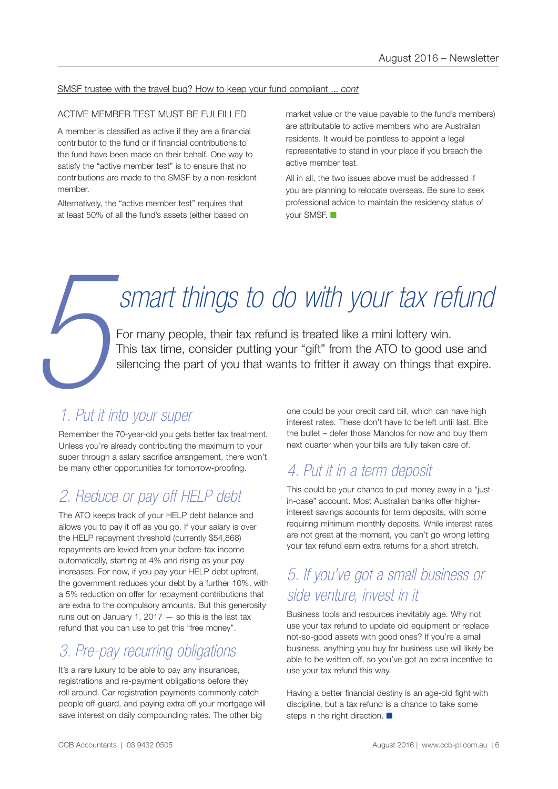## SMSF trustee with the travel bug? How to keep your fund compliant ... *cont*

## ACTIVE MEMBER TEST MUST BE FULFILLED

A member is classified as active if they are a financial contributor to the fund or if financial contributions to the fund have been made on their behalf. One way to satisfy the "active member test" is to ensure that no contributions are made to the SMSF by a non-resident member.

Alternatively, the "active member test" requires that at least 50% of all the fund's assets (either based on market value or the value payable to the fund's members) are attributable to active members who are Australian residents. It would be pointless to appoint a legal representative to stand in your place if you breach the active member test.

All in all, the two issues above must be addressed if you are planning to relocate overseas. Be sure to seek professional advice to maintain the residency status of your SMSF.  $\blacksquare$ 

# *smart things to do with your tax refund*

For many people, their tax refund is treated like a mini lottery win. This tax time, consider putting your "gift" from the ATO to good use and silencing the part of you that wants to fritter it away on things that expire.

# **5** *1. Put it into your super*

Remember the 70-year-old you gets better tax treatment. Unless you're already contributing the maximum to your super through a salary sacrifice arrangement, there won't be many other opportunities for tomorrow-proofing.

## *2. Reduce or pay off HELP debt*

The ATO keeps track of your HELP debt balance and allows you to pay it off as you go. If your salary is over the HELP repayment threshold (currently \$54,868) repayments are levied from your before-tax income automatically, starting at 4% and rising as your pay increases. For now, if you pay your HELP debt upfront, the government reduces your debt by a further 10%, with a 5% reduction on offer for repayment contributions that are extra to the compulsory amounts. But this generosity runs out on January 1,  $2017 -$  so this is the last tax refund that you can use to get this "free money".

## *3. Pre-pay recurring obligations*

It's a rare luxury to be able to pay any insurances, registrations and re-payment obligations before they roll around. Car registration payments commonly catch people off-guard, and paying extra off your mortgage will save interest on daily compounding rates. The other big

one could be your credit card bill, which can have high interest rates. These don't have to be left until last. Bite the bullet – defer those Manolos for now and buy them next quarter when your bills are fully taken care of.

## *4. Put it in a term deposit*

This could be your chance to put money away in a "justin-case" account. Most Australian banks offer higherinterest savings accounts for term deposits, with some requiring minimum monthly deposits. While interest rates are not great at the moment, you can't go wrong letting your tax refund earn extra returns for a short stretch.

## *5. If you've got a small business or side venture, invest in it*

Business tools and resources inevitably age. Why not use your tax refund to update old equipment or replace not-so-good assets with good ones? If you're a small business, anything you buy for business use will likely be able to be written off, so you've got an extra incentive to use your tax refund this way.

Having a better financial destiny is an age-old fight with discipline, but a tax refund is a chance to take some steps in the right direction.  $\blacksquare$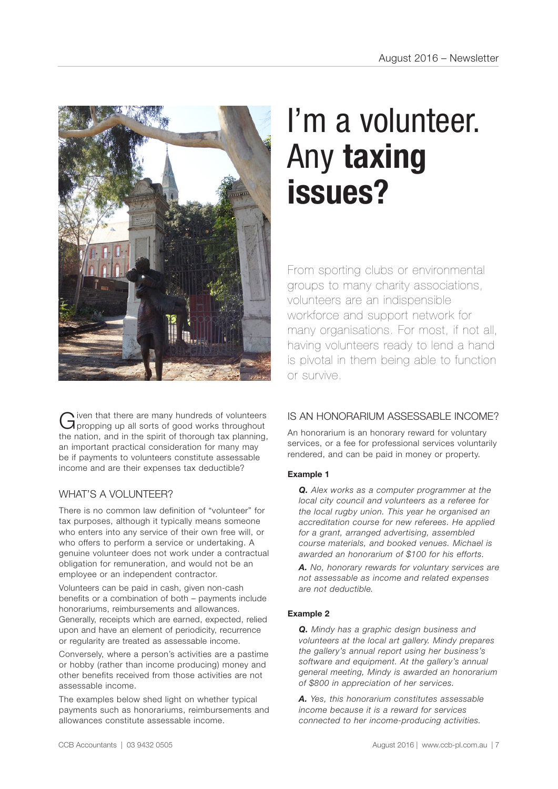

Given that there are many hundreds of volunteers<br>Gipropping up all sorts of good works throughout the nation, and in the spirit of thorough tax planning, an important practical consideration for many may be if payments to volunteers constitute assessable income and are their expenses tax deductible?

## WHAT'S A VOLUNTEER?

There is no common law definition of "volunteer" for tax purposes, although it typically means someone who enters into any service of their own free will, or who offers to perform a service or undertaking. A genuine volunteer does not work under a contractual obligation for remuneration, and would not be an employee or an independent contractor.

Volunteers can be paid in cash, given non-cash benefits or a combination of both – payments include honorariums, reimbursements and allowances. Generally, receipts which are earned, expected, relied upon and have an element of periodicity, recurrence or regularity are treated as assessable income.

Conversely, where a person's activities are a pastime or hobby (rather than income producing) money and other benefits received from those activities are not assessable income.

The examples below shed light on whether typical payments such as honorariums, reimbursements and allowances constitute assessable income.

# I'm a volunteer. Any **taxing issues?**

From sporting clubs or environmental groups to many charity associations, volunteers are an indispensible workforce and support network for many organisations. For most, if not all, having volunteers ready to lend a hand is pivotal in them being able to function or survive.

## IS AN HONORARIUM ASSESSARI F INCOME?

An honorarium is an honorary reward for voluntary services, or a fee for professional services voluntarily rendered, and can be paid in money or property.

## **Example 1**

*Q. Alex works as a computer programmer at the local city council and volunteers as a referee for the local rugby union. This year he organised an accreditation course for new referees. He applied for a grant, arranged advertising, assembled course materials, and booked venues. Michael is awarded an honorarium of \$100 for his efforts.* 

*A. No, honorary rewards for voluntary services are not assessable as income and related expenses are not deductible.* 

## **Example 2**

*Q. Mindy has a graphic design business and volunteers at the local art gallery. Mindy prepares the gallery's annual report using her business's software and equipment. At the gallery's annual general meeting, Mindy is awarded an honorarium of \$800 in appreciation of her services.*

*A. Yes, this honorarium constitutes assessable income because it is a reward for services connected to her income-producing activities.*